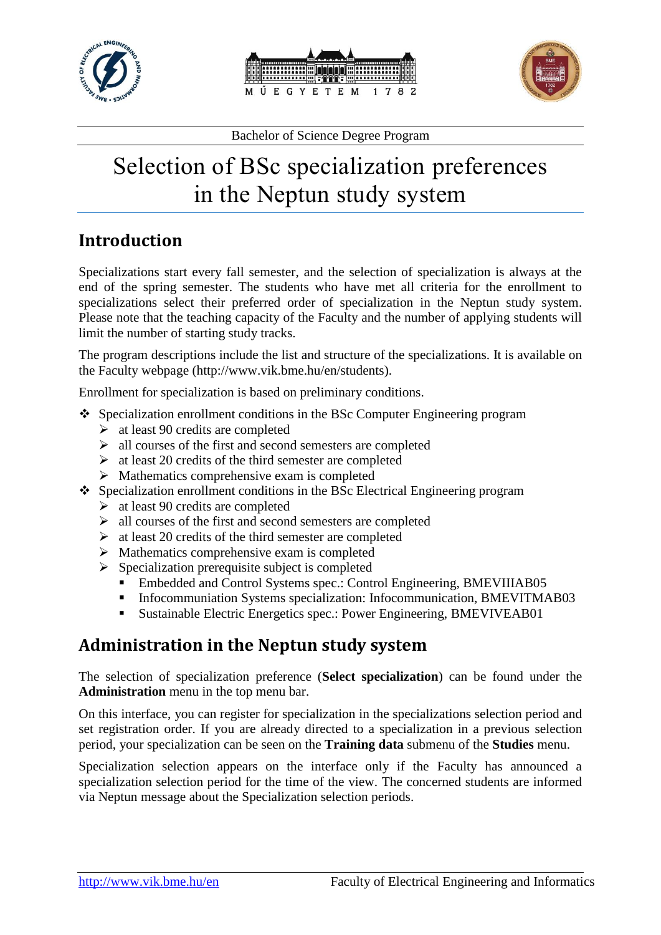





# Selection of BSc specialization preferences in the Neptun study system

## **Introduction**

Specializations start every fall semester, and the selection of specialization is always at the end of the spring semester. The students who have met all criteria for the enrollment to specializations select their preferred order of specialization in the Neptun study system. Please note that the teaching capacity of the Faculty and the number of applying students will limit the number of starting study tracks.

The program descriptions include the list and structure of the specializations. It is available on the Faculty webpage (http://www.vik.bme.hu/en/students).

Enrollment for specialization is based on preliminary conditions.

- Specialization enrollment conditions in the BSc Computer Engineering program
	- $\triangleright$  at least 90 credits are completed
	- $\triangleright$  all courses of the first and second semesters are completed
	- $\triangleright$  at least 20 credits of the third semester are completed
	- $\triangleright$  Mathematics comprehensive exam is completed
- Specialization enrollment conditions in the BSc Electrical Engineering program
	- $\geq$  at least 90 credits are completed
	- $\triangleright$  all courses of the first and second semesters are completed
	- $\triangleright$  at least 20 credits of the third semester are completed
	- $\triangleright$  Mathematics comprehensive exam is completed
	- $\triangleright$  Specialization prerequisite subject is completed
		- Embedded and Control Systems spec.: Control Engineering, BMEVIIIAB05
		- Infocommuniation Systems specialization: Infocommunication, BMEVITMAB03
		- Sustainable Electric Energetics spec.: Power Engineering, BMEVIVEAB01

#### **Administration in the Neptun study system**

The selection of specialization preference (**Select specialization**) can be found under the **Administration** menu in the top menu bar.

On this interface, you can register for specialization in the specializations selection period and set registration order. If you are already directed to a specialization in a previous selection period, your specialization can be seen on the **Training data** submenu of the **Studies** menu.

Specialization selection appears on the interface only if the Faculty has announced a specialization selection period for the time of the view. The concerned students are informed via Neptun message about the Specialization selection periods.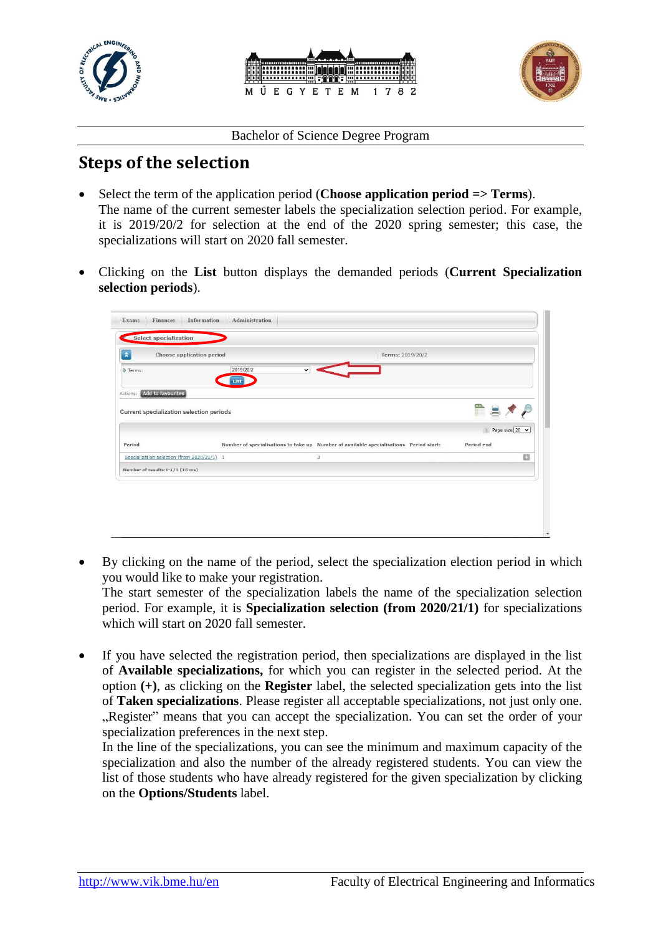





### **Steps of the selection**

- Select the term of the application period (**Choose application period => Terms**). The name of the current semester labels the specialization selection period. For example, it is 2019/20/2 for selection at the end of the 2020 spring semester; this case, the specializations will start on 2020 fall semester.
- Clicking on the **List** button displays the demanded periods (**Current Specialization selection periods**).



- By clicking on the name of the period, select the specialization election period in which you would like to make your registration. The start semester of the specialization labels the name of the specialization selection period. For example, it is **Specialization selection (from 2020/21/1)** for specializations which will start on 2020 fall semester.
- If you have selected the registration period, then specializations are displayed in the list of **Available specializations,** for which you can register in the selected period. At the option **(+)**, as clicking on the **Register** label, the selected specialization gets into the list of **Taken specializations**. Please register all acceptable specializations, not just only one. "Register" means that you can accept the specialization. You can set the order of your specialization preferences in the next step.

In the line of the specializations, you can see the minimum and maximum capacity of the specialization and also the number of the already registered students. You can view the list of those students who have already registered for the given specialization by clicking on the **Options/Students** label.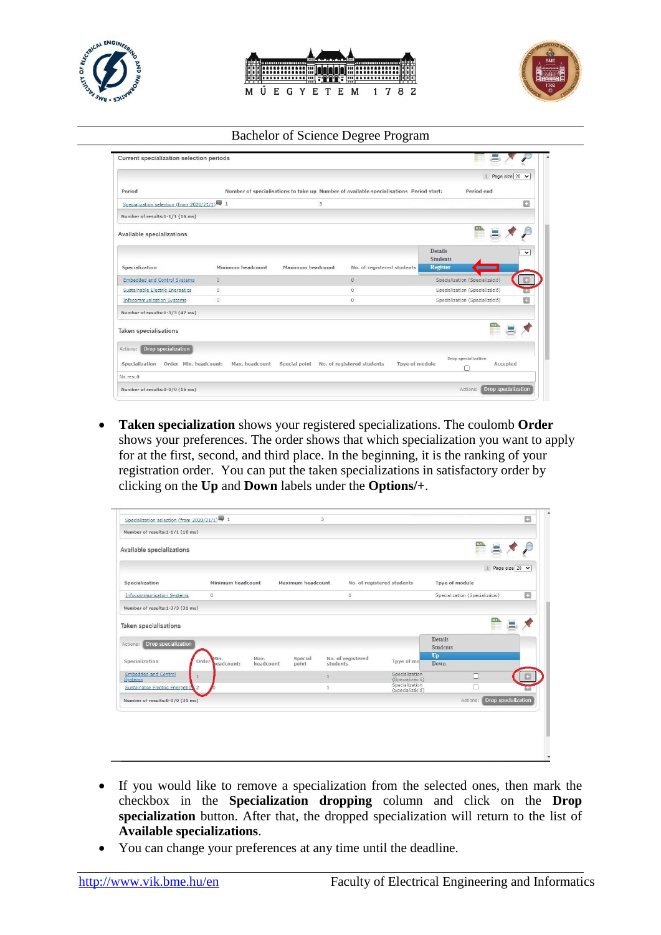





|                                             |                   |                         |                                                                                        |                                   | Page size 20 V |              |
|---------------------------------------------|-------------------|-------------------------|----------------------------------------------------------------------------------------|-----------------------------------|----------------|--------------|
| Period                                      |                   |                         | Number of specialisations to take up Number of available specialisations Period start: | Period end                        |                |              |
| Specialization selection (from 2020/21/1) 1 |                   | $\overline{\mathbf{3}}$ |                                                                                        |                                   |                | Ø            |
| Number of results:1-1/1 (16 ms)             |                   |                         |                                                                                        |                                   |                |              |
| Available specializations                   |                   |                         |                                                                                        |                                   |                |              |
|                                             |                   |                         |                                                                                        | <b>Details</b><br><b>Students</b> |                | $\checkmark$ |
| Specialization                              | Minimum headcount | Maximum headcount       | No. of registered students                                                             | <b>Register</b>                   |                |              |
| <b>Embedded and Control Systems</b>         | $\Omega$          |                         | $\circ$                                                                                | Specialization (Specializáció)    |                |              |
| Sustainable Electric Energetics             | $\theta$          |                         | $\circ$                                                                                | Specialization (Specializáció)    |                |              |
| Infocommunication Systems                   | $\theta$          |                         | $\circ$                                                                                | Specialization (Specializáció)    |                | o            |
| Number of results:1-3/3 (47 ms)             |                   |                         |                                                                                        |                                   |                |              |
| <b>Taken specialisations</b>                |                   |                         |                                                                                        |                                   |                |              |
| Drop specialization<br>Actions:             |                   |                         |                                                                                        |                                   |                |              |
| Order Min. headcount:<br>Specialization     | Max. headcount    | Special point           | No. of registered students<br>Tpye of module                                           | Drop specialization               | Accepted       |              |
| No result                                   |                   |                         |                                                                                        |                                   |                |              |

 **Taken specialization** shows your registered specializations. The coulomb **Order** shows your preferences. The order shows that which specialization you want to apply for at the first, second, and third place. In the beginning, it is the ranking of your registration order. You can put the taken specializations in satisfactory order by clicking on the **Up** and **Down** labels under the **Options/+**.

| Number of results:1-1/1 (16 ms)                            |                            |                   |                   |                               |                                   |                                   |                                |                |
|------------------------------------------------------------|----------------------------|-------------------|-------------------|-------------------------------|-----------------------------------|-----------------------------------|--------------------------------|----------------|
| Available specializations                                  |                            |                   |                   |                               |                                   |                                   |                                |                |
|                                                            |                            |                   |                   |                               |                                   |                                   |                                | Page size 20 V |
| Specialization                                             | Minimum headcount          |                   | Maximum headcount |                               | No. of registered students        | Tpye of module                    |                                |                |
| Infocommunication Systems                                  | $\circ$                    |                   |                   | o                             |                                   |                                   | Specialization (Specializáció) | 四              |
| Number of results:1-3/3 (31 ms)                            |                            |                   |                   |                               |                                   |                                   |                                |                |
|                                                            |                            |                   |                   |                               |                                   |                                   |                                |                |
| Drop specialization                                        |                            |                   |                   |                               |                                   | <b>Details</b><br><b>Students</b> |                                |                |
| <b>Taken specialisations</b><br>Actions:<br>Specialization | Min.<br>Order<br>eadcount: | Max.<br>headcount | Special<br>point  | No. of registered<br>students | Tpye of mo                        | Up<br>Down                        |                                |                |
| <b>Embedded and Control</b><br>Systems                     | $\mathbf{1}$               |                   |                   |                               | Specialization<br>(Specializáció) |                                   | п                              |                |
| Sustainable Electric Energetics                            | 2                          |                   |                   | $\mathbf{1}$                  | Specialization<br>(Specializáció) |                                   | г                              |                |

- If you would like to remove a specialization from the selected ones, then mark the checkbox in the **Specialization dropping** column and click on the **Drop specialization** button. After that, the dropped specialization will return to the list of **Available specializations**.
- You can change your preferences at any time until the deadline.